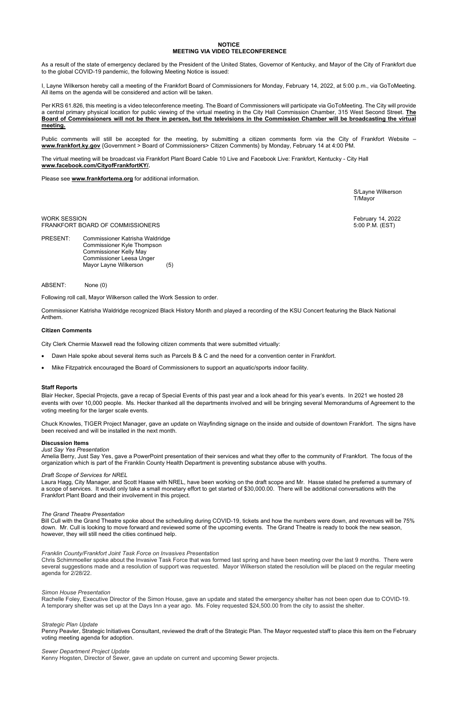# **NOTICE MEETING VIA VIDEO TELECONFERENCE**

As a result of the state of emergency declared by the President of the United States, Governor of Kentucky, and Mayor of the City of Frankfort due to the global COVID-19 pandemic, the following Meeting Notice is issued:

I, Layne Wilkerson hereby call a meeting of the Frankfort Board of Commissioners for Monday, February 14, 2022, at 5:00 p.m., via GoToMeeting. All items on the agenda will be considered and action will be taken.

Per KRS 61.826, this meeting is a video teleconference meeting. The Board of Commissioners will participate via GoToMeeting. The City will provide a central primary physical location for public viewing of the virtual meeting in the City Hall Commission Chamber, 315 West Second Street. **The Board of Commissioners will not be there in person, but the televisions in the Commission Chamber will be broadcasting the virtual meeting.** 

WORK SESSION February 14, 2022 FRANKFORT BOARD OF COMMISSIONERS **FRANKFORT BOARD OF COMMISSIONERS** 5:00 P.M. (EST)

Public comments will still be accepted for the meeting, by submitting a citizen comments form via the City of Frankfort Website – **[www.frankfort.ky.gov](http://www.frankfort.ky.gov/)** {Government > Board of Commissioners> Citizen Comments} by Monday, February 14 at 4:00 PM.

The virtual meeting will be broadcast via Frankfort Plant Board Cable 10 Live and Facebook Live: Frankfort, Kentucky - City Hall **[www.facebook.com/CityofFrankfortKY/.](http://www.facebook.com/CityofFrankfortKY/)**

Please see **[www.frankfortema.org](http://www.frankfortema.org/)** for additional information.

S/Layne Wilkerson T/Mayor

PRESENT: Commissioner Katrisha Waldridge Commissioner Kyle Thompson Commissioner Kelly May Commissioner Leesa Unger Mayor Layne Wilkerson (5)

ABSENT: None (0)

Following roll call, Mayor Wilkerson called the Work Session to order.

Commissioner Katrisha Waldridge recognized Black History Month and played a recording of the KSU Concert featuring the Black National Anthem.

## **Citizen Comments**

City Clerk Chermie Maxwell read the following citizen comments that were submitted virtually:

- Dawn Hale spoke about several items such as Parcels B & C and the need for a convention center in Frankfort.
- Mike Fitzpatrick encouraged the Board of Commissioners to support an aquatic/sports indoor facility.

## **Staff Reports**

Blair Hecker, Special Projects, gave a recap of Special Events of this past year and a look ahead for this year's events. In 2021 we hosted 28 events with over 10,000 people. Ms. Hecker thanked all the departments involved and will be bringing several Memorandums of Agreement to the voting meeting for the larger scale events.

Chuck Knowles, TIGER Project Manager, gave an update on Wayfinding signage on the inside and outside of downtown Frankfort. The signs have been received and will be installed in the next month.

#### **Discussion Items**

#### *Just Say Yes Presentation*

Amelia Berry, Just Say Yes, gave a PowerPoint presentation of their services and what they offer to the community of Frankfort. The focus of the organization which is part of the Franklin County Health Department is preventing substance abuse with youths.

#### *Draft Scope of Services for NREL*

Laura Hagg, City Manager, and Scott Haase with NREL, have been working on the draft scope and Mr. Hasse stated he preferred a summary of a scope of services. It would only take a small monetary effort to get started of \$30,000.00. There will be additional conversations with the Frankfort Plant Board and their involvement in this project.

## *The Grand Theatre Presentation*

Bill Cull with the Grand Theatre spoke about the scheduling during COVID-19, tickets and how the numbers were down, and revenues will be 75% down. Mr. Cull is looking to move forward and reviewed some of the upcoming events. The Grand Theatre is ready to book the new season, however, they will still need the cities continued help.

### *Franklin County/Frankfort Joint Task Force on Invasives Presentation*

Chris Schimmoeller spoke about the Invasive Task Force that was formed last spring and have been meeting over the last 9 months. There were several suggestions made and a resolution of support was requested. Mayor Wilkerson stated the resolution will be placed on the regular meeting agenda for 2/28/22.

*Simon House Presentation* 

Rachelle Foley, Executive Director of the Simon House, gave an update and stated the emergency shelter has not been open due to COVID-19. A temporary shelter was set up at the Days Inn a year ago. Ms. Foley requested \$24,500.00 from the city to assist the shelter.

*Strategic Plan Update* 

Penny Peavler, Strategic Initiatives Consultant, reviewed the draft of the Strategic Plan. The Mayor requested staff to place this item on the February voting meeting agenda for adoption.

*Sewer Department Project Update*  Kenny Hogsten, Director of Sewer, gave an update on current and upcoming Sewer projects.